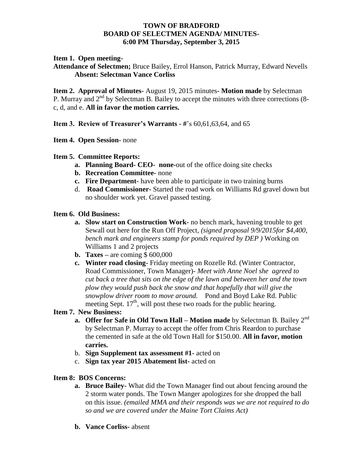# **TOWN OF BRADFORD BOARD OF SELECTMEN AGENDA/ MINUTES-6:00 PM Thursday, September 3, 2015**

### **Item 1. Open meeting-**

**Attendance of Selectmen;** Bruce Bailey, Errol Hanson, Patrick Murray, Edward Nevells **Absent: Selectman Vance Corliss**

**Item 2. Approval of Minutes-** August 19, 2015 minutes**- Motion made** by Selectman P. Murray and  $2<sup>nd</sup>$  by Selectman B. Bailey to accept the minutes with three corrections (8c, d, and e. **All in favor the motion carries.**

**Item 3. Review of Treasurer's Warrants - #**'s 60,61,63,64, and 65

**Item 4. Open Session-** none

- **Item 5. Committee Reports:**
	- **a. Planning Board- CEO- none-**out of the office doing site checks
	- **b. Recreation Committee-** none
	- **c. Fire Department-** have been able to participate in two training burns
	- d. **Road Commissioner-** Started the road work on Williams Rd gravel down but no shoulder work yet. Gravel passed testing.

### **Item 6. Old Business:**

- **a. Slow start on Construction Work-** no bench mark, havening trouble to get Sewall out here for the Run Off Project*, (signed proposal 9/9/2015for \$4,400, bench mark and engineers stamp for ponds required by DEP )* Working on Williams 1 and 2 projects
- **b. Taxes –** are coming \$ 600,000
- **c. Winter road closing-** Friday meeting on Rozelle Rd. (Winter Contractor, Road Commissioner, Town Manager)- *Meet with Anne Noel she agreed to cut back a tree that sits on the edge of the lawn and between her and the town plow they would push back the snow and that hopefully that will give the snowplow driver room to move around.* Pond and Boyd Lake Rd. Public meeting Sept.  $17<sup>th</sup>$ , will post these two roads for the public hearing.

# **Item 7. New Business:**

- **a. Offer for Safe in Old Town Hall Motion made** by Selectman B. Bailey 2<sup>nd</sup> by Selectman P. Murray to accept the offer from Chris Reardon to purchase the cemented in safe at the old Town Hall for \$150.00. **All in favor, motion carries.**
- b. **Sign Supplement tax assessment #1-** acted on
- c. **Sign tax year 2015 Abatement list-** acted on

#### **Item 8: BOS Concerns:**

- **a. Bruce Bailey-** What did the Town Manager find out about fencing around the 2 storm water ponds. The Town Manger apologizes for she dropped the ball on this issue. *(emailed MMA and their responds was we are not required to do so and we are covered under the Maine Tort Claims Act)*
- **b. Vance Corliss-** absent